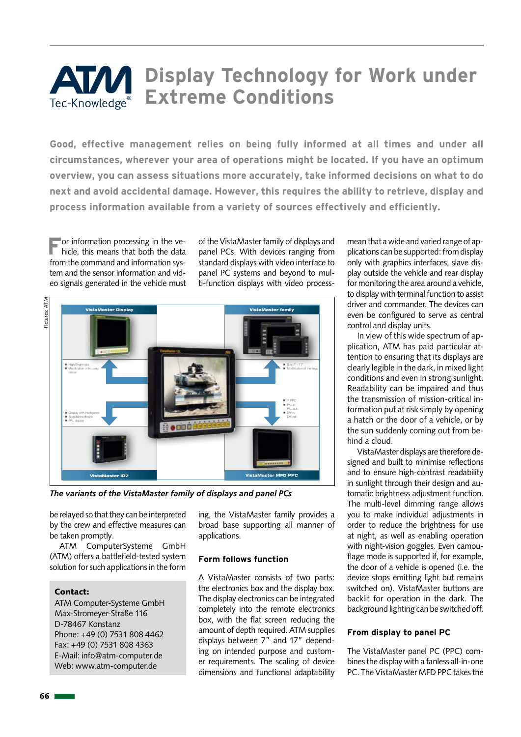# **ATM** Display Technology for Work under **Extreme Conditions** Tec-Knowledge®

**Good, effective management relies on being fully informed at all times and under all circumstances, wherever your area of operations might be located. If you have an optimum overview, you can assess situations more accurately, take informed decisions on what to do next and avoid accidental damage. However, this requires the ability to retrieve, display and process information available from a variety of sources effectively and efficiently.**

**For information processing in the vehicle, this means that both the data** from the command and information system and the sensor information and video signals generated in the vehicle must of the VistaMaster family of displays and panel PCs. With devices ranging from standard displays with video interface to panel PC systems and beyond to multi-function displays with video process-



*The variants of the VistaMaster family of displays and panel PCs*

be relayed so that they can be interpreted by the crew and effective measures can be taken promptly.

ATM ComputerSysteme GmbH (ATM) offers a battlefield-tested system solution for such applications in the form

#### Contact:

ATM Computer-Systeme GmbH Max-Stromeyer-Straße 116 D-78467 Konstanz Phone: +49 (0) 7531 808 4462 Fax: +49 (0) 7531 808 4363 E-Mail: info@atm-computer.de Web: www.atm-computer.de

ing, the VistaMaster family provides a broad base supporting all manner of applications.

## **Form follows function**

A VistaMaster consists of two parts: the electronics box and the display box. The display electronics can be integrated completely into the remote electronics box, with the flat screen reducing the amount of depth required. ATM supplies displays between 7" and 17" depending on intended purpose and customer requirements. The scaling of device dimensions and functional adaptability mean that a wide and varied range of applications can be supported: from display only with graphics interfaces, slave display outside the vehicle and rear display for monitoring the area around a vehicle, to display with terminal function to assist driver and commander. The devices can even be configured to serve as central control and display units.

In view of this wide spectrum of application, ATM has paid particular attention to ensuring that its displays are clearly legible in the dark, in mixed light conditions and even in strong sunlight. Readability can be impaired and thus the transmission of mission-critical information put at risk simply by opening a hatch or the door of a vehicle, or by the sun suddenly coming out from behind a cloud.

VistaMaster displays are therefore designed and built to minimise reflections and to ensure high-contrast readability in sunlight through their design and automatic brightness adjustment function. The multi-level dimming range allows you to make individual adjustments in order to reduce the brightness for use at night, as well as enabling operation with night-vision goggles. Even camouflage mode is supported if, for example, the door of a vehicle is opened (i.e. the device stops emitting light but remains switched on). VistaMaster buttons are backlit for operation in the dark. The background lighting can be switched off.

#### **From display to panel PC**

The VistaMaster panel PC (PPC) combines the display with a fanless all-in-one PC. The VistaMaster MFD PPC takes the